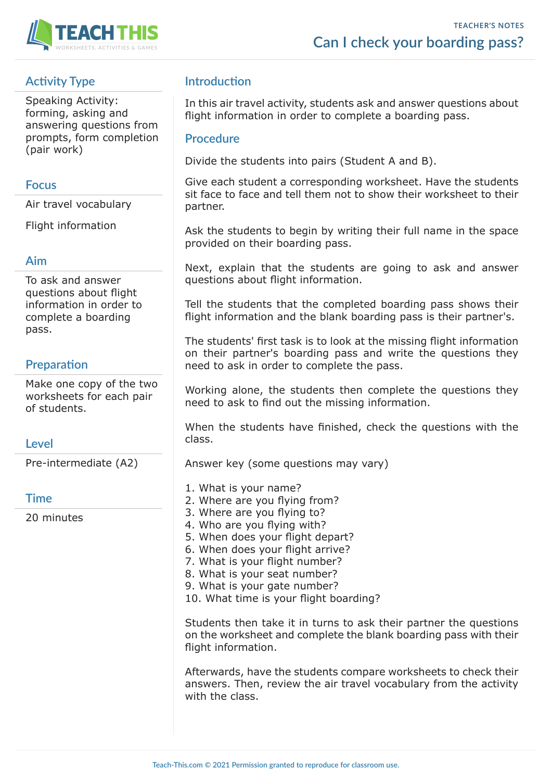

# **Activity Type**

Speaking Activity: forming, asking and answering questions from prompts, form completion (pair work)

#### **Focus**

Air travel vocabulary

Flight information

## **Aim**

To ask and answer questions about flight information in order to complete a boarding pass.

## **Preparation**

Make one copy of the two worksheets for each pair of students.

#### **Level**

Pre-intermediate (A2)

#### **Time**

20 minutes

# **Introduction**

In this air travel activity, students ask and answer questions about flight information in order to complete a boarding pass.

### **Procedure**

Divide the students into pairs (Student A and B).

Give each student a corresponding worksheet. Have the students sit face to face and tell them not to show their worksheet to their partner.

Ask the students to begin by writing their full name in the space provided on their boarding pass.

Next, explain that the students are going to ask and answer questions about flight information.

Tell the students that the completed boarding pass shows their flight information and the blank boarding pass is their partner's.

The students' first task is to look at the missing flight information on their partner's boarding pass and write the questions they need to ask in order to complete the pass.

Working alone, the students then complete the questions they need to ask to find out the missing information.

When the students have finished, check the questions with the class.

Answer key (some questions may vary)

- 1. What is your name?
- 2. Where are you flying from?
- 3. Where are you flying to?
- 4. Who are you flying with?
- 5. When does your flight depart?
- 6. When does your flight arrive?
- 7. What is your flight number?
- 8. What is your seat number?
- 9. What is your gate number?
- 10. What time is your flight boarding?

Students then take it in turns to ask their partner the questions on the worksheet and complete the blank boarding pass with their flight information.

Afterwards, have the students compare worksheets to check their answers. Then, review the air travel vocabulary from the activity with the class.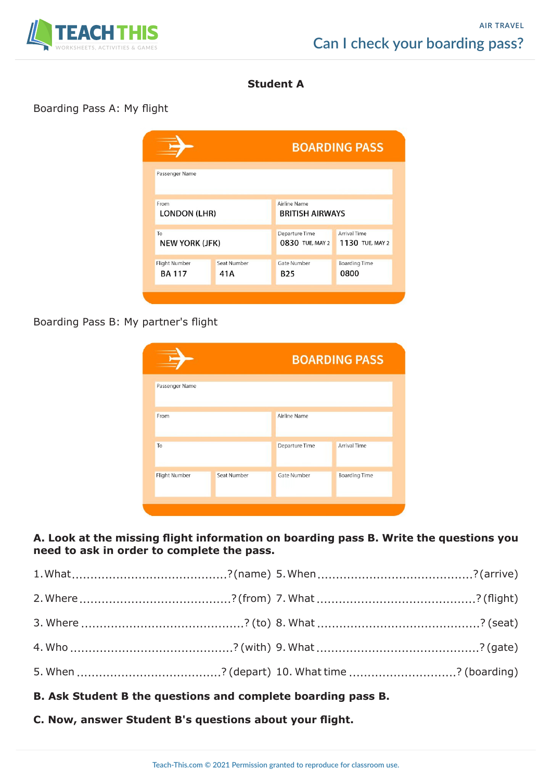

#### **Student A**

## Boarding Pass A: My flight



#### Boarding Pass B: My partner's flight

|                |             |                | <b>BOARDING PASS</b> |  |  |
|----------------|-------------|----------------|----------------------|--|--|
| Passenger Name |             |                |                      |  |  |
| From           |             | Airline Name   |                      |  |  |
| To             |             | Departure Time | Arrival Time         |  |  |
| Flight Number  | Seat Number | Gate Number    | <b>Boarding Time</b> |  |  |

#### **A. Look at the missing flight information on boarding pass B. Write the questions you need to ask in order to complete the pass.**

| B. Ask Student B the questions and complete boarding pass B. |  |  |  |  |  |
|--------------------------------------------------------------|--|--|--|--|--|
|                                                              |  |  |  |  |  |
|                                                              |  |  |  |  |  |
|                                                              |  |  |  |  |  |
|                                                              |  |  |  |  |  |
|                                                              |  |  |  |  |  |

**C. Now, answer Student B's questions about your flight.**